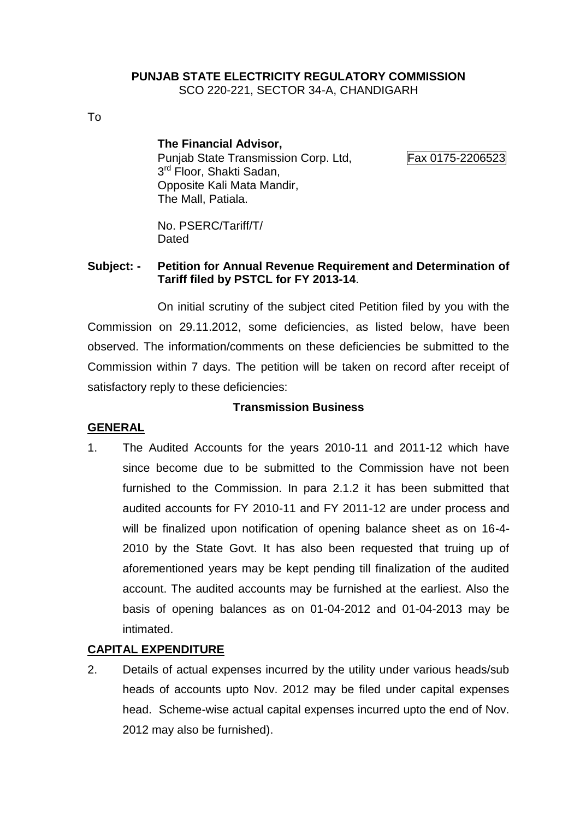#### **PUNJAB STATE ELECTRICITY REGULATORY COMMISSION** SCO 220-221, SECTOR 34-A, CHANDIGARH

To

#### **The Financial Advisor,**

Punjab State Transmission Corp. Ltd, Fax 0175-2206523 3<sup>rd</sup> Floor, Shakti Sadan, Opposite Kali Mata Mandir, The Mall, Patiala.

No. PSERC/Tariff/T/ Dated

#### **Subject: - Petition for Annual Revenue Requirement and Determination of Tariff filed by PSTCL for FY 2013-14**.

On initial scrutiny of the subject cited Petition filed by you with the Commission on 29.11.2012, some deficiencies, as listed below, have been observed. The information/comments on these deficiencies be submitted to the Commission within 7 days. The petition will be taken on record after receipt of satisfactory reply to these deficiencies:

#### **Transmission Business**

#### **GENERAL**

1. The Audited Accounts for the years 2010-11 and 2011-12 which have since become due to be submitted to the Commission have not been furnished to the Commission. In para 2.1.2 it has been submitted that audited accounts for FY 2010-11 and FY 2011-12 are under process and will be finalized upon notification of opening balance sheet as on 16-4- 2010 by the State Govt. It has also been requested that truing up of aforementioned years may be kept pending till finalization of the audited account. The audited accounts may be furnished at the earliest. Also the basis of opening balances as on 01-04-2012 and 01-04-2013 may be intimated.

#### **CAPITAL EXPENDITURE**

2. Details of actual expenses incurred by the utility under various heads/sub heads of accounts upto Nov. 2012 may be filed under capital expenses head. Scheme-wise actual capital expenses incurred upto the end of Nov. 2012 may also be furnished).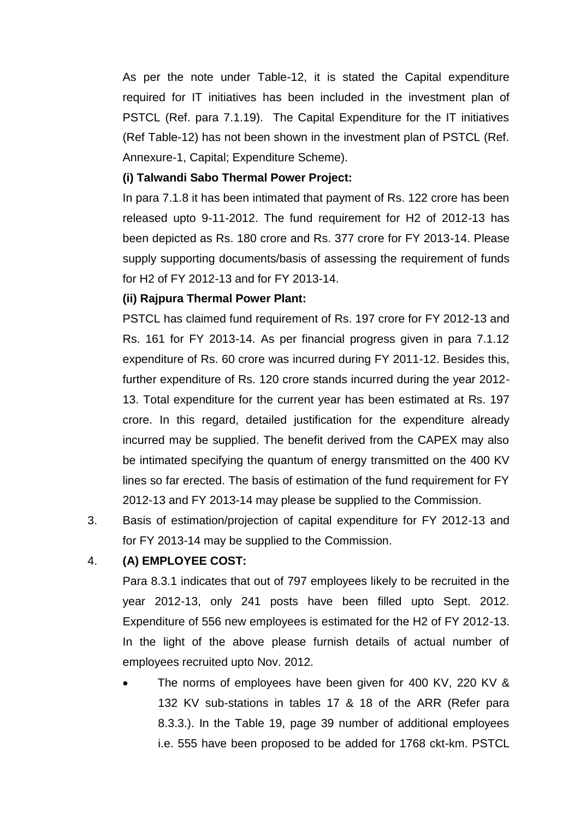As per the note under Table-12, it is stated the Capital expenditure required for IT initiatives has been included in the investment plan of PSTCL (Ref. para 7.1.19). The Capital Expenditure for the IT initiatives (Ref Table-12) has not been shown in the investment plan of PSTCL (Ref. Annexure-1, Capital; Expenditure Scheme).

#### **(i) Talwandi Sabo Thermal Power Project:**

In para 7.1.8 it has been intimated that payment of Rs. 122 crore has been released upto 9-11-2012. The fund requirement for H2 of 2012-13 has been depicted as Rs. 180 crore and Rs. 377 crore for FY 2013-14. Please supply supporting documents/basis of assessing the requirement of funds for H2 of FY 2012-13 and for FY 2013-14.

#### **(ii) Rajpura Thermal Power Plant:**

PSTCL has claimed fund requirement of Rs. 197 crore for FY 2012-13 and Rs. 161 for FY 2013-14. As per financial progress given in para 7.1.12 expenditure of Rs. 60 crore was incurred during FY 2011-12. Besides this, further expenditure of Rs. 120 crore stands incurred during the year 2012- 13. Total expenditure for the current year has been estimated at Rs. 197 crore. In this regard, detailed justification for the expenditure already incurred may be supplied. The benefit derived from the CAPEX may also be intimated specifying the quantum of energy transmitted on the 400 KV lines so far erected. The basis of estimation of the fund requirement for FY 2012-13 and FY 2013-14 may please be supplied to the Commission.

3. Basis of estimation/projection of capital expenditure for FY 2012-13 and for FY 2013-14 may be supplied to the Commission.

## 4. **(A) EMPLOYEE COST:**

Para 8.3.1 indicates that out of 797 employees likely to be recruited in the year 2012-13, only 241 posts have been filled upto Sept. 2012. Expenditure of 556 new employees is estimated for the H2 of FY 2012-13. In the light of the above please furnish details of actual number of employees recruited upto Nov. 2012.

 The norms of employees have been given for 400 KV, 220 KV & 132 KV sub-stations in tables 17 & 18 of the ARR (Refer para 8.3.3.). In the Table 19, page 39 number of additional employees i.e. 555 have been proposed to be added for 1768 ckt-km. PSTCL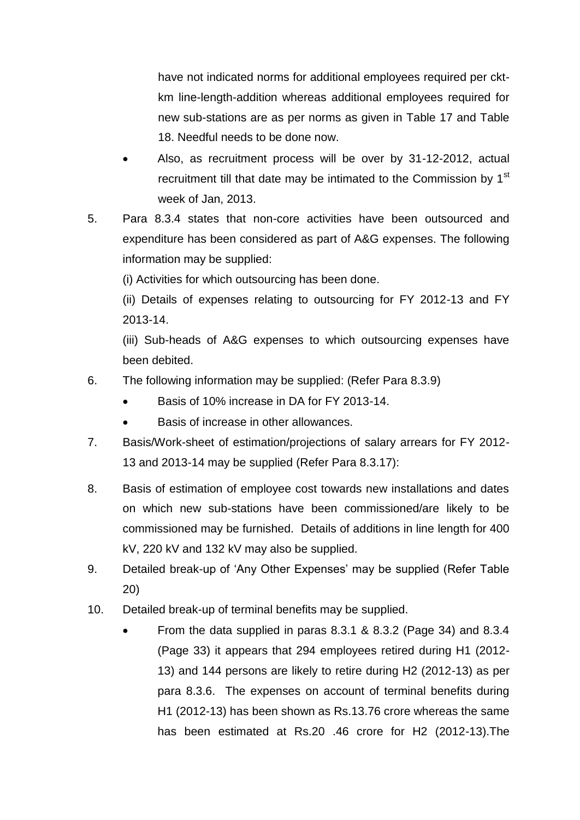have not indicated norms for additional employees required per cktkm line-length-addition whereas additional employees required for new sub-stations are as per norms as given in Table 17 and Table 18. Needful needs to be done now.

- Also, as recruitment process will be over by 31-12-2012, actual recruitment till that date may be intimated to the Commission by 1<sup>st</sup> week of Jan, 2013.
- 5. Para 8.3.4 states that non-core activities have been outsourced and expenditure has been considered as part of A&G expenses. The following information may be supplied:

(i) Activities for which outsourcing has been done.

(ii) Details of expenses relating to outsourcing for FY 2012-13 and FY 2013-14.

(iii) Sub-heads of A&G expenses to which outsourcing expenses have been debited.

- 6. The following information may be supplied: (Refer Para 8.3.9)
	- Basis of 10% increase in DA for FY 2013-14.
	- Basis of increase in other allowances.
- 7. Basis/Work-sheet of estimation/projections of salary arrears for FY 2012- 13 and 2013-14 may be supplied (Refer Para 8.3.17):
- 8. Basis of estimation of employee cost towards new installations and dates on which new sub-stations have been commissioned/are likely to be commissioned may be furnished. Details of additions in line length for 400 kV, 220 kV and 132 kV may also be supplied.
- 9. Detailed break-up of 'Any Other Expenses' may be supplied (Refer Table 20)
- 10. Detailed break-up of terminal benefits may be supplied.
	- From the data supplied in paras 8.3.1 & 8.3.2 (Page 34) and 8.3.4 (Page 33) it appears that 294 employees retired during H1 (2012- 13) and 144 persons are likely to retire during H2 (2012-13) as per para 8.3.6. The expenses on account of terminal benefits during H1 (2012-13) has been shown as Rs.13.76 crore whereas the same has been estimated at Rs.20 .46 crore for H2 (2012-13).The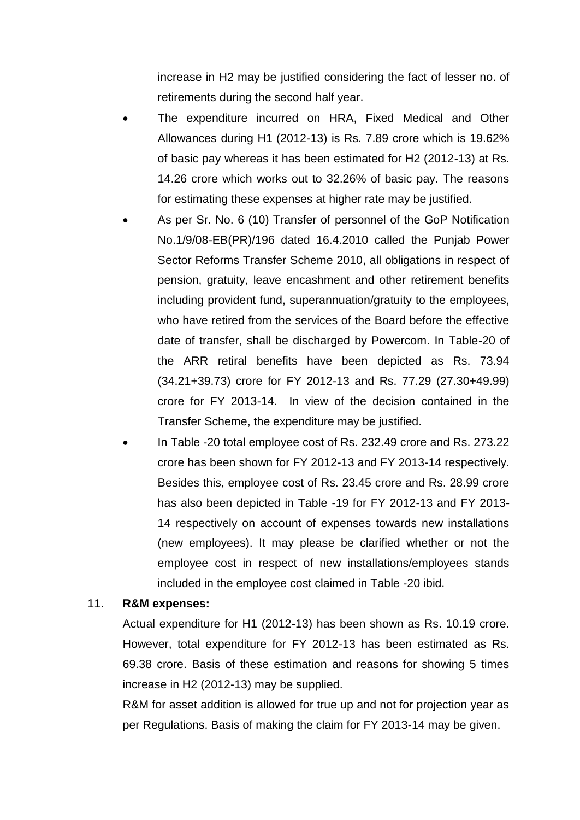increase in H2 may be justified considering the fact of lesser no. of retirements during the second half year.

- The expenditure incurred on HRA, Fixed Medical and Other Allowances during H1 (2012-13) is Rs. 7.89 crore which is 19.62% of basic pay whereas it has been estimated for H2 (2012-13) at Rs. 14.26 crore which works out to 32.26% of basic pay. The reasons for estimating these expenses at higher rate may be justified.
- As per Sr. No. 6 (10) Transfer of personnel of the GoP Notification No.1/9/08-EB(PR)/196 dated 16.4.2010 called the Punjab Power Sector Reforms Transfer Scheme 2010, all obligations in respect of pension, gratuity, leave encashment and other retirement benefits including provident fund, superannuation/gratuity to the employees, who have retired from the services of the Board before the effective date of transfer, shall be discharged by Powercom. In Table-20 of the ARR retiral benefits have been depicted as Rs. 73.94 (34.21+39.73) crore for FY 2012-13 and Rs. 77.29 (27.30+49.99) crore for FY 2013-14. In view of the decision contained in the Transfer Scheme, the expenditure may be justified.
- In Table -20 total employee cost of Rs. 232.49 crore and Rs. 273.22 crore has been shown for FY 2012-13 and FY 2013-14 respectively. Besides this, employee cost of Rs. 23.45 crore and Rs. 28.99 crore has also been depicted in Table -19 for FY 2012-13 and FY 2013- 14 respectively on account of expenses towards new installations (new employees). It may please be clarified whether or not the employee cost in respect of new installations/employees stands included in the employee cost claimed in Table -20 ibid.

#### 11. **R&M expenses:**

Actual expenditure for H1 (2012-13) has been shown as Rs. 10.19 crore. However, total expenditure for FY 2012-13 has been estimated as Rs. 69.38 crore. Basis of these estimation and reasons for showing 5 times increase in H2 (2012-13) may be supplied.

R&M for asset addition is allowed for true up and not for projection year as per Regulations. Basis of making the claim for FY 2013-14 may be given.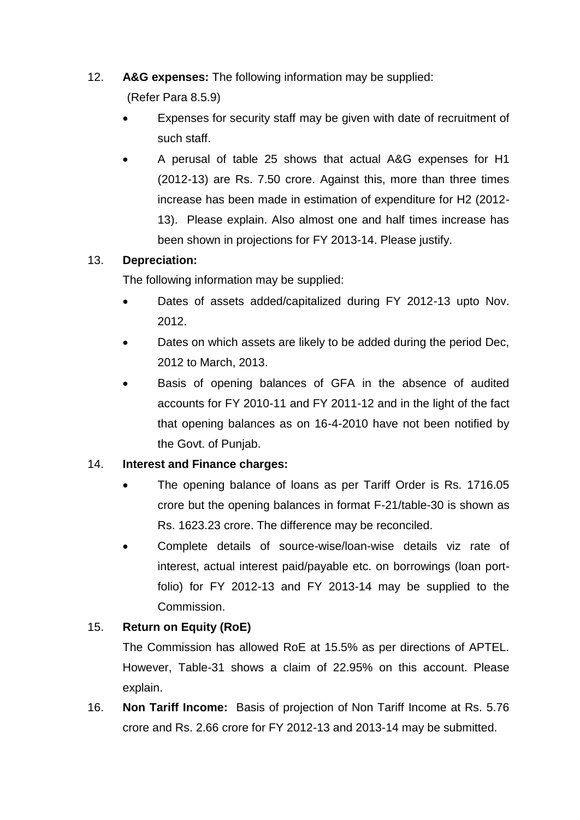12. **A&G expenses:** The following information may be supplied:

(Refer Para 8.5.9)

- Expenses for security staff may be given with date of recruitment of such staff.
- A perusal of table 25 shows that actual A&G expenses for H1 (2012-13) are Rs. 7.50 crore. Against this, more than three times increase has been made in estimation of expenditure for H2 (2012- 13). Please explain. Also almost one and half times increase has been shown in projections for FY 2013-14. Please justify.

## 13. **Depreciation:**

The following information may be supplied:

- Dates of assets added/capitalized during FY 2012-13 upto Nov. 2012.
- Dates on which assets are likely to be added during the period Dec, 2012 to March, 2013.
- Basis of opening balances of GFA in the absence of audited accounts for FY 2010-11 and FY 2011-12 and in the light of the fact that opening balances as on 16-4-2010 have not been notified by the Govt. of Punjab.

# 14. **Interest and Finance charges:**

- The opening balance of loans as per Tariff Order is Rs. 1716.05 crore but the opening balances in format F-21/table-30 is shown as Rs. 1623.23 crore. The difference may be reconciled.
- Complete details of source-wise/loan-wise details viz rate of interest, actual interest paid/payable etc. on borrowings (loan portfolio) for FY 2012-13 and FY 2013-14 may be supplied to the Commission.

# 15. **Return on Equity (RoE)**

The Commission has allowed RoE at 15.5% as per directions of APTEL. However, Table-31 shows a claim of 22.95% on this account. Please explain.

16. **Non Tariff Income:** Basis of projection of Non Tariff Income at Rs. 5.76 crore and Rs. 2.66 crore for FY 2012-13 and 2013-14 may be submitted.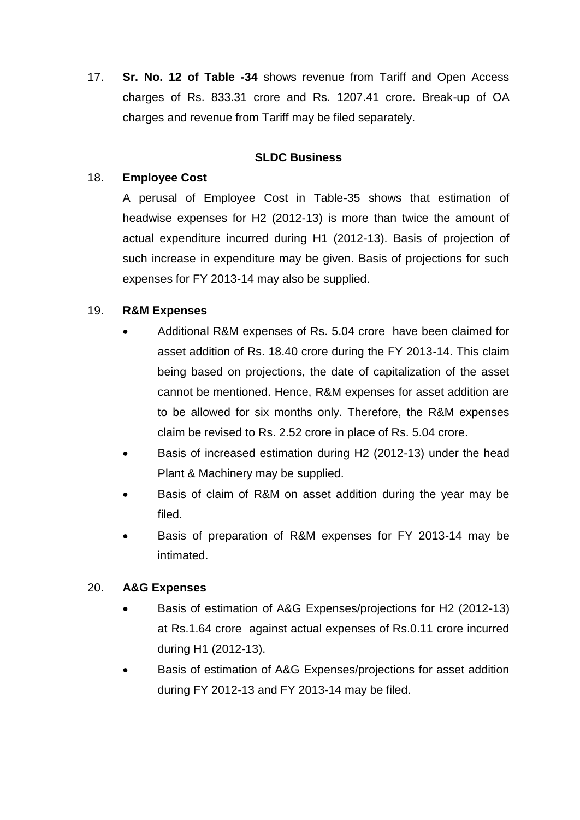17. **Sr. No. 12 of Table -34** shows revenue from Tariff and Open Access charges of Rs. 833.31 crore and Rs. 1207.41 crore. Break-up of OA charges and revenue from Tariff may be filed separately.

#### **SLDC Business**

#### 18. **Employee Cost**

A perusal of Employee Cost in Table-35 shows that estimation of headwise expenses for H2 (2012-13) is more than twice the amount of actual expenditure incurred during H1 (2012-13). Basis of projection of such increase in expenditure may be given. Basis of projections for such expenses for FY 2013-14 may also be supplied.

#### 19. **R&M Expenses**

- Additional R&M expenses of Rs. 5.04 crore have been claimed for asset addition of Rs. 18.40 crore during the FY 2013-14. This claim being based on projections, the date of capitalization of the asset cannot be mentioned. Hence, R&M expenses for asset addition are to be allowed for six months only. Therefore, the R&M expenses claim be revised to Rs. 2.52 crore in place of Rs. 5.04 crore.
- Basis of increased estimation during H2 (2012-13) under the head Plant & Machinery may be supplied.
- Basis of claim of R&M on asset addition during the year may be filed.
- Basis of preparation of R&M expenses for FY 2013-14 may be intimated.

#### 20. **A&G Expenses**

- Basis of estimation of A&G Expenses/projections for H2 (2012-13) at Rs.1.64 crore against actual expenses of Rs.0.11 crore incurred during H1 (2012-13).
- Basis of estimation of A&G Expenses/projections for asset addition during FY 2012-13 and FY 2013-14 may be filed.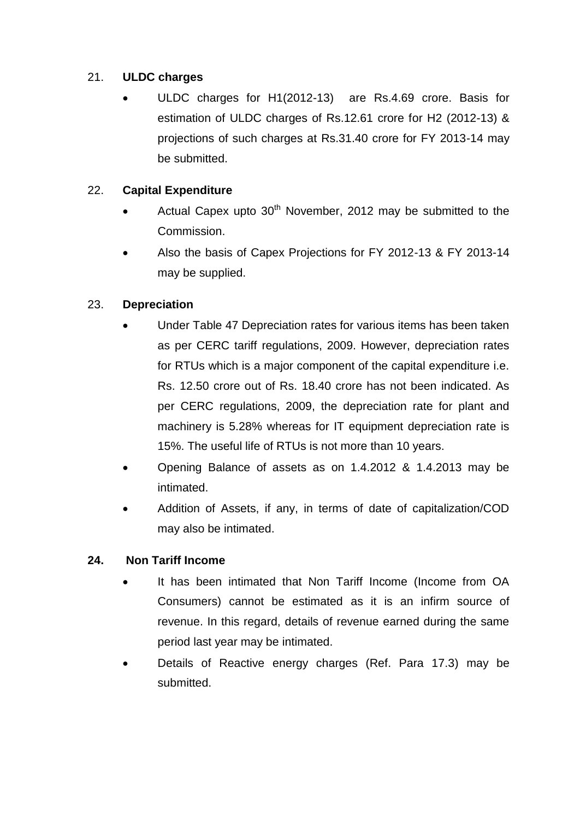## 21. **ULDC charges**

 ULDC charges for H1(2012-13) are Rs.4.69 crore. Basis for estimation of ULDC charges of Rs.12.61 crore for H2 (2012-13) & projections of such charges at Rs.31.40 crore for FY 2013-14 may be submitted.

# 22. **Capital Expenditure**

- Actual Capex upto  $30<sup>th</sup>$  November, 2012 may be submitted to the Commission.
- Also the basis of Capex Projections for FY 2012-13 & FY 2013-14 may be supplied.

# 23. **Depreciation**

- Under Table 47 Depreciation rates for various items has been taken as per CERC tariff regulations, 2009. However, depreciation rates for RTUs which is a major component of the capital expenditure i.e. Rs. 12.50 crore out of Rs. 18.40 crore has not been indicated. As per CERC regulations, 2009, the depreciation rate for plant and machinery is 5.28% whereas for IT equipment depreciation rate is 15%. The useful life of RTUs is not more than 10 years.
- Opening Balance of assets as on 1.4.2012 & 1.4.2013 may be intimated.
- Addition of Assets, if any, in terms of date of capitalization/COD may also be intimated.

# **24. Non Tariff Income**

- It has been intimated that Non Tariff Income (Income from OA Consumers) cannot be estimated as it is an infirm source of revenue. In this regard, details of revenue earned during the same period last year may be intimated.
- Details of Reactive energy charges (Ref. Para 17.3) may be submitted.